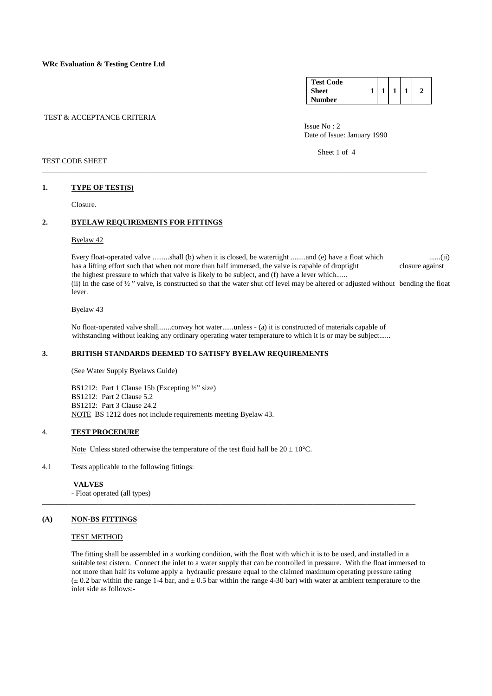| <b>Test Code</b> |  |  |  |
|------------------|--|--|--|
| <b>Sheet</b>     |  |  |  |
| <b>umber</b>     |  |  |  |

## TEST & ACCEPTANCE CRITERIA

Issue No : 2 Date of Issue: January 1990

Sheet 1 of 4

## TEST CODE SHEET

#### **1. TYPE OF TEST(S)**

Closure.

#### **2. BYELAW REQUIREMENTS FOR FITTINGS**

#### Byelaw 42

 Every float-operated valve .........shall (b) when it is closed, be watertight ........and (e) have a float which ......(ii) has a lifting effort such that when not more than half immersed, the valve is capable of droptight closure against the highest pressure to which that valve is likely to be subject, and (f) have a lever which...... (ii) In the case of  $\frac{1}{2}$  " valve, is constructed so that the water shut off level may be altered or adjusted without bending the float lever.

#### Byelaw 43

 No float-operated valve shall.......convey hot water......unless - (a) it is constructed of materials capable of withstanding without leaking any ordinary operating water temperature to which it is or may be subject......

\_\_\_\_\_\_\_\_\_\_\_\_\_\_\_\_\_\_\_\_\_\_\_\_\_\_\_\_\_\_\_\_\_\_\_\_\_\_\_\_\_\_\_\_\_\_\_\_\_\_\_\_\_\_\_\_\_\_\_\_\_\_\_\_\_\_\_\_\_\_\_\_\_\_\_\_\_\_\_\_\_\_\_\_\_\_\_\_\_\_\_\_\_\_\_\_\_\_\_\_\_\_

## **3. BRITISH STANDARDS DEEMED TO SATISFY BYELAW REQUIREMENTS**

(See Water Supply Byelaws Guide)

 BS1212: Part 1 Clause 15b (Excepting ½" size) BS1212: Part 2 Clause 5.2 BS1212: Part 3 Clause 24.2 NOTE BS 1212 does not include requirements meeting Byelaw 43.

## 4. **TEST PROCEDURE**

Note Unless stated otherwise the temperature of the test fluid hall be  $20 \pm 10^{\circ}$ C.

4.1 Tests applicable to the following fittings:

 **VALVES** 

- Float operated (all types)

## **(A) NON-BS FITTINGS**

## TEST METHOD

 The fitting shall be assembled in a working condition, with the float with which it is to be used, and installed in a suitable test cistern. Connect the inlet to a water supply that can be controlled in pressure. With the float immersed to not more than half its volume apply a hydraulic pressure equal to the claimed maximum operating pressure rating  $(± 0.2$  bar within the range 1-4 bar, and  $± 0.5$  bar within the range 4-30 bar) with water at ambient temperature to the inlet side as follows:-

\_\_\_\_\_\_\_\_\_\_\_\_\_\_\_\_\_\_\_\_\_\_\_\_\_\_\_\_\_\_\_\_\_\_\_\_\_\_\_\_\_\_\_\_\_\_\_\_\_\_\_\_\_\_\_\_\_\_\_\_\_\_\_\_\_\_\_\_\_\_\_\_\_\_\_\_\_\_\_\_\_\_\_\_\_\_\_\_\_\_\_\_\_\_\_\_\_\_\_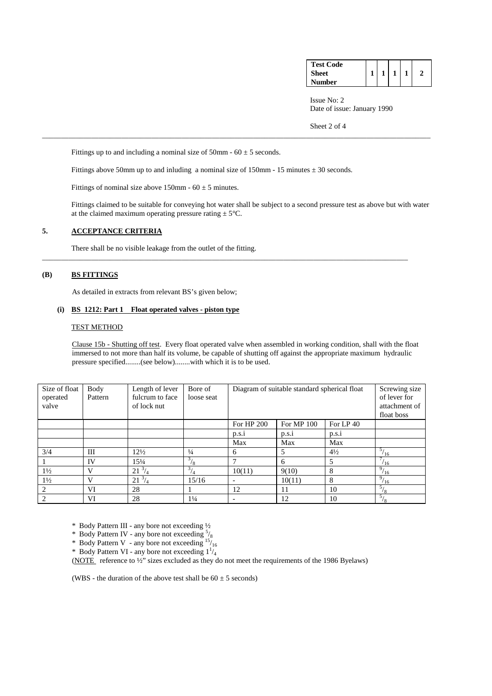| <b>Test Code</b> |  |  |  |
|------------------|--|--|--|
| <b>Sheet</b>     |  |  |  |
| <b>Number</b>    |  |  |  |

Issue No: 2 Date of issue: January 1990

Sheet 2 of 4

Fittings up to and including a nominal size of 50mm -  $60 \pm 5$  seconds.

Fittings above 50mm up to and inluding a nominal size of 150mm - 15 minutes  $\pm$  30 seconds.

\_\_\_\_\_\_\_\_\_\_\_\_\_\_\_\_\_\_\_\_\_\_\_\_\_\_\_\_\_\_\_\_\_\_\_\_\_\_\_\_\_\_\_\_\_\_\_\_\_\_\_\_\_\_\_\_\_\_\_\_\_\_\_\_\_\_\_\_\_\_\_\_\_\_\_\_\_\_\_\_\_\_\_\_\_\_\_\_\_\_\_\_\_\_\_\_\_

Fittings of nominal size above 150mm -  $60 \pm 5$  minutes.

 Fittings claimed to be suitable for conveying hot water shall be subject to a second pressure test as above but with water at the claimed maximum operating pressure rating  $\pm$  5°C.

\_\_\_\_\_\_\_\_\_\_\_\_\_\_\_\_\_\_\_\_\_\_\_\_\_\_\_\_\_\_\_\_\_\_\_\_\_\_\_\_\_\_\_\_\_\_\_\_\_\_\_\_\_\_\_\_\_\_\_\_\_\_\_\_\_\_\_\_\_\_\_\_\_\_\_\_\_\_\_\_\_\_\_\_\_\_\_\_\_\_\_\_\_\_\_\_\_\_\_\_\_\_\_

## **5. ACCEPTANCE CRITERIA**

There shall be no visible leakage from the outlet of the fitting.

## **(B) BS FITTINGS**

As detailed in extracts from relevant BS's given below;

#### **(i) BS 1212: Part 1 Float operated valves - piston type**

#### TEST METHOD

 Clause 15b - Shutting off test. Every float operated valve when assembled in working condition, shall with the float immersed to not more than half its volume, be capable of shutting off against the appropriate maximum hydraulic pressure specified........(see below)........with which it is to be used.

| Size of float<br>operated<br>valve | Body<br>Pattern | Length of lever<br>fulcrum to face<br>of lock nut | Bore of<br>loose seat | Diagram of suitable standard spherical float | Screwing size<br>of lever for<br>attachment of<br>float boss |                |                      |
|------------------------------------|-----------------|---------------------------------------------------|-----------------------|----------------------------------------------|--------------------------------------------------------------|----------------|----------------------|
|                                    |                 |                                                   |                       | For HP 200                                   | For MP 100                                                   | For LP 40      |                      |
|                                    |                 |                                                   |                       | p.s.i                                        | p.s.1                                                        | p.s.i          |                      |
|                                    |                 |                                                   |                       | Max                                          | Max                                                          | Max            |                      |
| 3/4                                | Ш               | $12\frac{1}{2}$                                   | $\frac{1}{4}$         | 6                                            | 5                                                            | $4\frac{1}{2}$ | $\frac{5}{16}$       |
|                                    | IV              | $15\frac{1}{4}$                                   | $\frac{3}{8}$         | ⇁                                            | 6                                                            | .5             | 7 <sub>1</sub><br>16 |
| $1\frac{1}{2}$                     | V               | $21^{3}/_{4}$                                     | 3 <sub>l</sub>        | 10(11)                                       | 9(10)                                                        | 8              | 9 <sub>1</sub><br>16 |
| $1\frac{1}{2}$                     | V               | $21^{3}/_{4}$                                     | 15/16                 |                                              | 10(11)                                                       | 8              | $^{9}/_{16}$         |
| $\mathfrak{D}_{\mathfrak{p}}$      | VI              | 28                                                |                       | 12                                           | 11                                                           | 10             | 5/<br>/8             |
|                                    | VI              | 28                                                | $1\frac{1}{4}$        |                                              | 12                                                           | 10             | 5/<br>/8             |

\* Body Pattern III - any bore not exceeding ½

\* Body Pattern IV - any bore not exceeding  $\frac{5}{8}$ 

\* Body Pattern V - any bore not exceeding  $15/16$ 

\* Body Pattern VI - any bore not exceeding  $1\frac{1}{4}$ 

(NOTE reference to ½" sizes excluded as they do not meet the requirements of the 1986 Byelaws)

(WBS - the duration of the above test shall be  $60 \pm 5$  seconds)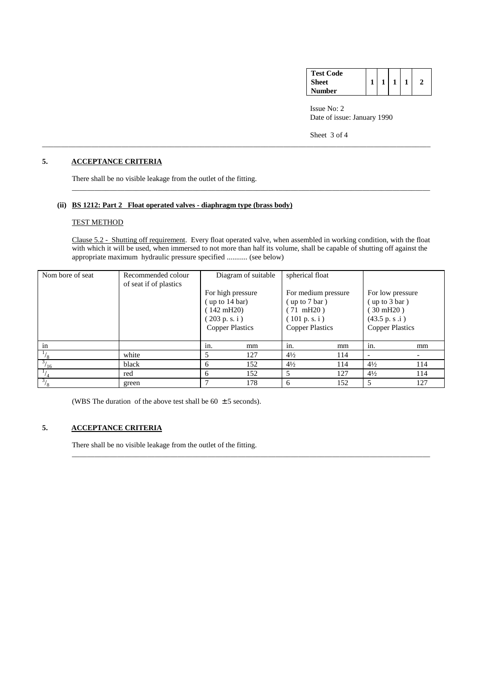| <b>Test Code</b> |  |  |  |
|------------------|--|--|--|
| Sheet            |  |  |  |
| Number           |  |  |  |

 Issue No: 2 Date of issue: January 1990

Sheet 3 of 4

## **5. ACCEPTANCE CRITERIA**

There shall be no visible leakage from the outlet of the fitting.

## **(ii) BS 1212: Part 2 Float operated valves - diaphragm type (brass body)**

## TEST METHOD

 Clause 5.2 - Shutting off requirement. Every float operated valve, when assembled in working condition, with the float with which it will be used, when immersed to not more than half its volume, shall be capable of shutting off against the appropriate maximum hydraulic pressure specified ........... (see below)

\_\_\_\_\_\_\_\_\_\_\_\_\_\_\_\_\_\_\_\_\_\_\_\_\_\_\_\_\_\_\_\_\_\_\_\_\_\_\_\_\_\_\_\_\_\_\_\_\_\_\_\_\_\_\_\_\_\_\_\_\_\_\_\_\_\_\_\_\_\_\_\_\_\_\_\_\_\_\_\_\_\_\_\_\_\_\_\_\_\_\_\_\_\_\_\_\_\_\_\_\_\_\_

\_\_\_\_\_\_\_\_\_\_\_\_\_\_\_\_\_\_\_\_\_\_\_\_\_\_\_\_\_\_\_\_\_\_\_\_\_\_\_\_\_\_\_\_\_\_\_\_\_\_\_\_\_\_\_\_\_\_\_\_\_\_\_\_\_\_\_\_\_\_\_\_\_\_\_\_\_\_\_\_\_\_\_\_\_\_\_\_\_\_\_\_\_\_\_

| Nom bore of seat     | Recommended colour<br>of seat if of plastics |                                                                                                      | Diagram of suitable | spherical float                                                                                                  |     |                                                                                                                       |     |
|----------------------|----------------------------------------------|------------------------------------------------------------------------------------------------------|---------------------|------------------------------------------------------------------------------------------------------------------|-----|-----------------------------------------------------------------------------------------------------------------------|-----|
|                      |                                              | For high pressure<br>up to 14 bar)<br>$(142 \text{ mH20})$<br>(203 p.s. i)<br><b>Copper Plastics</b> |                     | For medium pressure<br>(up to $7 \text{ bar}$ )<br>$(71 \text{ mH20})$<br>(101 p.s. i)<br><b>Copper Plastics</b> |     | For low pressure<br>$(\text{up to } 3 \text{ bar})$<br>$(30 \text{ mH}20)$<br>(43.5 p. s.i)<br><b>Copper Plastics</b> |     |
| in                   |                                              | in.                                                                                                  | mm                  | in.                                                                                                              | mm  | in.                                                                                                                   | mm  |
| /8                   | white                                        |                                                                                                      | 127                 | $4\frac{1}{2}$                                                                                                   | 114 | $\overline{\phantom{a}}$                                                                                              |     |
| 3 <sub>1</sub><br>16 | black                                        | 6                                                                                                    | 152                 | $4\frac{1}{2}$                                                                                                   | 114 | $4\frac{1}{2}$                                                                                                        | 114 |
|                      | red                                          | 6                                                                                                    | 152                 | 5                                                                                                                | 127 | $4\frac{1}{2}$                                                                                                        | 114 |
| $\frac{3}{8}$        | green                                        |                                                                                                      | 178                 | 6                                                                                                                | 152 | 5                                                                                                                     | 127 |

\_\_\_\_\_\_\_\_\_\_\_\_\_\_\_\_\_\_\_\_\_\_\_\_\_\_\_\_\_\_\_\_\_\_\_\_\_\_\_\_\_\_\_\_\_\_\_\_\_\_\_\_\_\_\_\_\_\_\_\_\_\_\_\_\_\_\_\_\_\_\_\_\_\_\_\_\_\_\_\_\_\_\_\_\_\_\_\_\_\_\_\_\_\_\_

(WBS The duration of the above test shall be  $60 \pm 5$  seconds).

## **5. ACCEPTANCE CRITERIA**

There shall be no visible leakage from the outlet of the fitting.